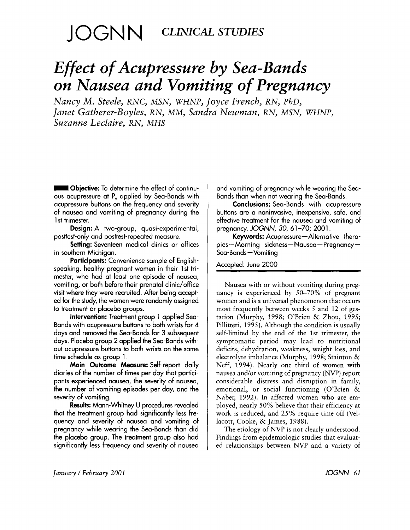# JOGNN **CLINICAL STUDIES**

# *Effect of Acupressure by Sea-Bands on Nausea and Vomiting of Pregnancy*

*Nancy M. Steele, RNC, MSN, WHNP, Joyce French, RN, PhD, Janet Gatherer-Boyles, RN, MM, Sandra Newman, RN, MSN, WHNP, Suzanne Leclaire, RN, MHS* 

= **Objective:** To determine the effect of continuous acupressure at P, applied by Sea-Bands with acupressure buttons on the frequency and severity of nausea and vomiting of pregnancy during the 1st trimester.

**Design:** A two-group, quasi-experimental, posttest-only and posttest-repeated measure.

**Setting:** Seventeen medical clinics or offices in southern Michigan.

**Participants:** Convenience sample of Englishspeaking, healthy pregnant women in their 1 st trimester, who had at least one episode of nausea, vomiting, or both before their prenatal clinic/office visit where they were recruited. After being accepted for the study, the women were randomly assigned to treatment or placebo groups.

**Intervention:** Treatment group **1** applied Sea-Bands with acupressure buttons to both wrists for 4 days and removed the Sea-Bands for 3 subsequent days. Placebo group **2** applied the Sea-Bands without acupressure buttons to both wrists on the same time schedule as group 1.

**Main Outcome Measure:** Self-report daily diaries of the number of times per day that participants experienced nausea, the severity of nausea, the number of vomiting episodes per day, and the severity of vomiting.

**Results:** Mann-Whitney U procedures revealed that the treatment group had significantly less frequency and severity of nausea and vomiting of pregnancy while wearing the Sea-Bands than did the placebo group. The treatment group **also** had significantly less frequency and severity of nausea and vomiting of pregnancy while wearing the Sea-Bands than when not wearing the Sea-Bands.

**Conclusions:** Sea-Bands with acupressure buttons are a noninvasive, inexpensive, safe, and effective treatment for the nausea and vomiting of pregnancy. *JOGNN*, 30, 61-70; 2001.

**Keywords:** Acupressure-Alternative therapies-Morning sickness-Nausea-Pregnancy-Sea-Bands-Vomiting

Accepted: June 2000

Nausea with or without vomiting during pregnancy is experienced by 50-70% of pregnant women and is a universal phenomenon that occurs most frequently between weeks *5* and 12 of gestation (Murphy, 1998; O'Brien & Zhou, 1995; Pillitteri, 1995). Although the condition is usually self-limited by the end of the 1st trimester, the symptomatic period may lead to nutritional deficits, dehydration, weakness, weight loss, and electrolyte imbalance (Murphy, 1998; Stainton & Neff, 1994). Nearly one third of women with nausea and/or vomiting of pregnancy (NVP) report considerable distress and disruption in family, emotional, or social functioning (O'Brien & Naber, 1992). In affected women who are employed, nearly 50% believe that their efficiency at work is reduced, and 25% require time off (Vellacott, Cooke, & James, 1988).

The etiology of NVP is not clearly understood. Findings from epidemiologic studies that evaluated relationships between NVP and a variety of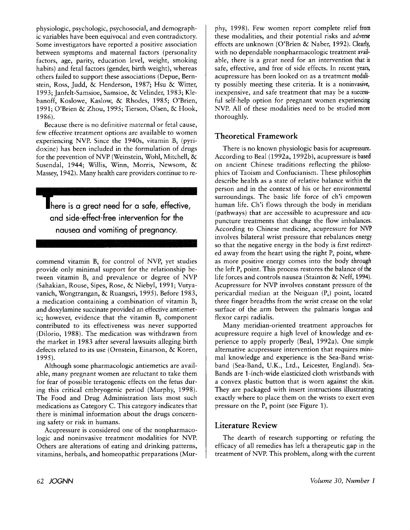physiologic, psychologic, psychosocial, and demographic variables have been equivocal and even contradictory. Some investigators have reported a positive association between symptoms and maternal factors (personality factors, age, parity, education level, weight, smoking habits) and fetal factors (gender, birth weight), whereas others failed to support these associations (Depue, Bernstein, Ross, Judd, & Henderson, 1987; Hsu & Witter, 1993; Janfelt-Samsioe, Samsioe, & Velinder, 1983; Klebanoff, Koslowe, Kaslow, & Rhodes, 1985; O'Brien, 1991; O'Brien & Zhou, 1995; Tierson, Olsen, & Hook, 1986).

Because there is no definitive maternal or fetal cause, few effective treatment options are available to women experiencing NVP. Since the 1940s, vitamin  $B_6$  (pyridoxine) has been included in the formulation of drugs for the prevention of *NVP* (Weinstein, Wohl, Mitchell, & Susendal, 1944; Willis, Winn, Morris, Newsom, & Massey, 1942). Many health care providers continue to re-

here is a great need for a safe, effective, and side-effect-free intervention for the nausea and vomiting of pregnancy.

commend vitamin  $B_6$  for control of NVP, yet studies provide only minimal support for the relationship between vitamin  $B_6$  and prevalence or degree of NVP (Sahakian, Rouse, Sipes, Rose, & Niebyl, 1991; Vutyavanich, Wongtrangan, & Ruangsri, 1995). Before 1983, a medication containing a combination of vitamin  $B_6$ and doxylamine succinate provided an effective antiemetic; however, evidence that the vitamin  $B_6$  component contributed to its effectiveness was never supported (Dilorio, 1988). The medication was withdrawn from the market in 1983 after several lawsuits alleging birth defects related to its use (Omstein, Einarson, & Koren, 1995).

Although some pharmacologic antiemetics are available, many pregnant women are reluctant to take them for fear of possible teratogenic effects on the fetus during this critical embryogenic period (Murphy, 1998). The Food and Drug Administration lists most such medications as Category C. This category indicates that there is minimal information about the drugs concerning safety or risk in humans.

Acupressure is considered one of the nonpharmacologic and noninvasive treatment modalities for NVP. Others are alterations of eating and drinking patterns, vitamins, herbals, and homeopathic preparations (Mur-

phy, 1998). Few women report complete relief from these modalities, and their potential risks and adverse effects are unknown (O'Brien & Naber, 1992). Clearly, with no dependable nonpharmacologic treatment available, there is a great need for an intervention that is safe, effective, and free of side effects. In recent years, acupressure has been looked on as a treatment modality possibly meeting these criteria. It is a noninvasive, inexpensive, and safe treatment that may be a successful self-help option for pregnant women experiencing NVP. All of these modalities need to be studied more thoroughly.

# **Theoretical Framework**

There is no known physiologic basis for acupressure. According to Beal (1992a, 1992b), acupressure is based on ancient Chinese traditions reflecting the philosophies of Taoism and Confucianism. These philosophies describe health as a state of relative balance within the person and in the context of his or her environmental surroundings. The basic life force of ch'i empowers human life. Ch'i flows through the body in meridians (pathways) that are accessible to acupressure and acupuncture treatments that change the flow imbalances. According to Chinese medicine, acupressure for NVP involves bilateral wrist pressure that rebalances energy so that the negative energy in the body is first redirected away from the heart using the right  $P_6$  point, whereas more positive energy comes into the body through the left  $P_6$  point. This process restores the balance of the life forces and controls nausea (Stainton & Neff, 1994). Acupressure for NVP involves constant pressure of the pericardial median at the Neiguan  $(P_6)$  point, located three finger breadths from the wrist crease on the volar surface of the arm between the palmaris longus and flexor carpi radialis.

Many meridian-oriented treatment approaches for acupressure require a high level of knowledge and experience to apply properly (Beal, 1992a). One simple alternative acupressure intervention that requires minimal knowledge and experience is the Sea-Band wristband (Sea-Band, U.K., Ltd., Leicester, England). Sea-Bands are l-inch-wide elasticized cloth wristbands with a convex plastic button that is worn against the skin. They are packaged with insert instructions illustrating exactly where to place them on the wrists to exert even pressure on the  $P_6$  point (see Figure 1).

# **Literature Review**

The dearth of research supporting or refuting the efficacy of all remedies has left a therapeutic gap in the treatment of NVP. This problem, along with the current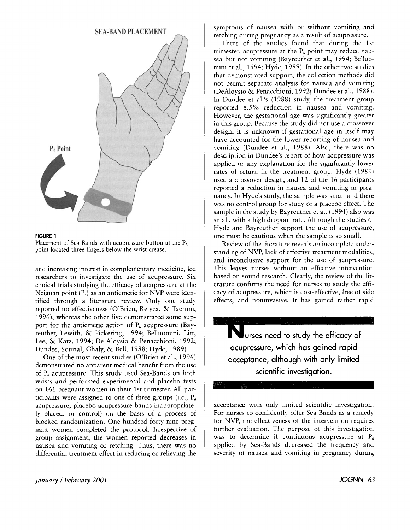



Placement of Sea-Bands with acupressure button at the  $P_6$ point located three fingers below the wrist crease.

and increasing interest in complementary medicine, led researchers to investigate the use of acupressure. Six clinical trials studying the efficacy of acupressure at the Neiguan point  $(P_6)$  as an antiemetic for NVP were identified through a literature review. Only one study reported no effectiveness (O'Brien, Relyea, & Taerum, 1996), whereas the other five demonstrated some support for the antiemetic action of  $P_6$  acupressure (Bayreuther, Lewith, & Pickering, 1994; Belluomini, Litt, Lee, & Katz, 1994; De Aloysio & Penacchioni, 1992; Dundee, Sourial, Ghaly, & Bell, 1988; Hyde, 1989).

One of the most recent studies (O'Brien et al., 1996) demonstrated no apparent medical benefit from the use of  $P_6$  acupressure. This study used Sea-Bands on both wrists and performed experimental and placebo tests on 161 pregnant women in their 1st trimester. All participants were assigned to one of three groups (i.e.,  $P_6$ ) acupressure, placebo acupressure bands inappropriately placed, or control) on the basis of a process of blocked randomization. One hundred forty-nine pregnant women completed the protocol. Irrespective of group assignment, the women reported decreases in nausea and vomiting or retching. Thus, there was no differential treatment effect in reducing or relieving the

*January / February 2001 G3* 

symptoms of nausea with or without vomiting and retching during pregnancy as a result of acupressure.

Three of the studies found that during the 1st trimester, acupressure at the  $P_6$  point may reduce nausea but not vomiting (Bayreuther et al., 1994; Belluomini et al., 1994; Hyde, 1989). In the other two studies that demonstrated support, the collection methods did not permit separate analysis for nausea and vomiting (DeAloysio & Penacchioni, 1992; Dundee et al., 1988). In Dundee et al.'s (1988) study, the treatment group reported 8.5% reduction in nausea and vomiting. However, the gestational age was significantly greater in this group. Because the study did not use a crossover design, it is unknown if gestational age in itself may have accounted for the lower reporting of nausea and vomiting (Dundee et al., 1988). Also, there was no description in Dundee's report of how acupressure was applied or any explanation for the significantly lower rates of return in the treatment group. Hyde (1989) used a crossover design, and 12 of the 16 participants reported a reduction in nausea and vomiting in pregnancy. In Hyde's study, the sample was small and there was no control group for study of a placebo effect. The sample in the study by Bayreuther et al. (1994) also was small, with a high dropout rate. Although the studies of Hyde and Bayreuther support the use of acupressure, one must be cautious when the sample is so small.

Review of the literature reveals an incomplete understanding of NVP, lack of effective treatment modalities, and inconclusive support for the use of acupressure. This leaves nurses without an effective intervention based on sound research. Clearly, the review of the literature confirms the need for nurses to study the efficacy of acupressure, which is cost-effective, free of side effects, and noninvasive. It has gained rather rapid

Nurses need to study the efficacy of acupressure, which has gained rapid acceptance, although with only limited scientific investigation.

acceptance with only limited scientific investigatian. For nurses to confidently offer Sea-Bands as a remedy for NVP, the effectiveness of the intervention requires further evaluation. The purpose of this investigation was to determine if continuous acupressure at  $P_6$ applied by Sea-Bands decreased the frequency and severity of nausea and vomiting in pregnancy during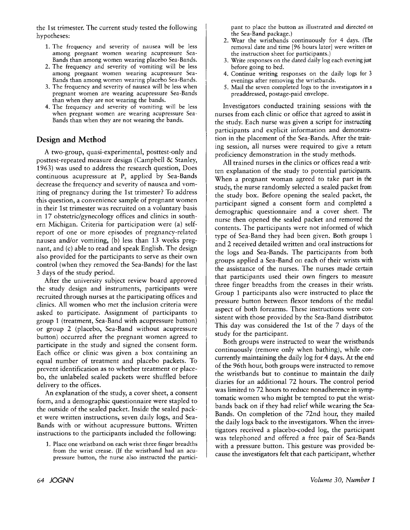the 1st trimester. The current study tested the following hypotheses:

- 1. The frequency and severity of nausea will be less among pregnant women wearing acupressure Sea-Bands than among women wearing placebo Sea-Bands.
- 2. The frequency and severity of vomiting will be less among pregnant women wearing acupressure Sea-Bands than among women wearing placebo Sea-Bands.
- *3.* The frequency and severity of nausea will be less when pregnant women are wearing acupressure Sea-Bands than when they are not wearing the bands.
- 4. The frequency and severity of vomiting will be less when pregnant women are wearing acupressure Sea-Bands than when they are not wearing the bands.

# **Design and Method**

A two-group, quasi-experimental, posttest-only and posttest-repeated measure design (Campbell & Stanley, 1963) was used to address the research question, Does continuous acupressure at  $P_6$  applied by Sea-Bands decrease the frequency and severity of nausea and vomiting of pregnancy during the 1st trimester? To address this question, a convenience sample of pregnant women in their 1st trimester was recruited on a voluntary basis in 17 obstetric/gynecology offices and clinics in southern Michigan. Criteria for participation were (a) selfreport of one or more episodes of pregnancy-related nausea and/or vomiting, (b) less than 13 weeks pregnant, and (c) able to read and speak English. The design also provided for the participants to serve as their own control (when they removed the Sea-Bands) for the last 3 days of the study period.

After the university subject review board approved the study design and instruments, participants were recruited through nurses at the participating offices and clinics. All women who met the inclusion criteria were asked to participate. Assignment of participants to group 1 (treatment, Sea-Band with acupressure button) or group 2 (placebo, Sea-Band without acupressure button) occurred after the pregnant women agreed to participate in the study and signed the consent form. Each office or clinic was given a box containing an equal number of treatment and placebo packets. To prevent identification as to whether treatment or placebo, the unlabeled sealed packets were shuffled before delivery to the offices.

An explanation of the study, a cover sheet, a consent form, and a demographic questionnaire were stapled to the outside of the sealed packet. Inside the sealed packet were written instructions, seven daily logs, and Sea-Bands with or without acupressure buttons. Written instructions to the participants included the following:

1. Place one wristband on each wrist three finger breadths from the wrist crease. (If the wristband had an acupressure button, the nurse also instructed the participant to place the button as illustrated and directed on the Sea-Band package.)

- 2. Wear the wristbands continuously for 4 days. (The removal date and time *[96* hours later] were written on the instruction sheet for participants.)
- **3.** Write responses on the dated daily log each evening just before going to bed.
- 4. Continue writing responses on the daily logs for **3**  evenings after removing the wristbands.
- 5. Mail the seven completed logs to the investigators in a preaddressed, postage-paid envelope.

Investigators conducted training sessions with the nurses from each clinic or office that agreed to assist in the study. Each nurse was given a script for instructing participants and explicit information and demonstration in the placement of the Sea-Bands. After the training session, all nurses were required to give a return proficiency demonstration in the study methods.

All trained nurses in the clinics or offices read a written explanation of the study to potential participants. When a pregnant woman agreed to take part in the study, the nurse randomly selected a sealed packet from the study box. Before opening the sealed packet, the participant signed a consent form and completed a demographic questionnaire and a cover sheet. The nurse then opened the sealed packet and removed the contents. The participants were not informed of which type of Sea-Band they had been given. Both groups 1 and 2 received detailed written and oral instructions for the logs and Sea-Bands. The participants from both groups applied a Sea-Band on each of their wrists with the assistance of the nurses. The nurses made certain that participants used their own fingers to measure three finger breadths from the creases in their wrists. Group 1 participants also were instructed to place the pressure button between flexor tendons of the medial aspect of both forearms. These instructions were consistent with those provided by the Sea-Band distributor. This day was considered the 1st of the 7 days of the study for the participant.

Both groups were instructed to wear the wristbands continuously (remove only when bathing), while concurrently maintaining the daily log for **4** days. At the end of the 96th hour, both groups were instructed to remove the wristbands but to continue to maintain the daily diaries for an additional 72 hours. The control period was limited to 72 hours to reduce nonadherence in symptomatic women who might be tempted to put the wristbands back on if they had relief while wearing the Sea-Bands. On completion of the 72nd hour, they mailed the daily logs back to the investigators. When the investigators received a placebo-coded log, the participant was telephoned and offered a free pair of Sea-Bands with a pressure button. This gesture was provided because the investigators felt that each participant, whether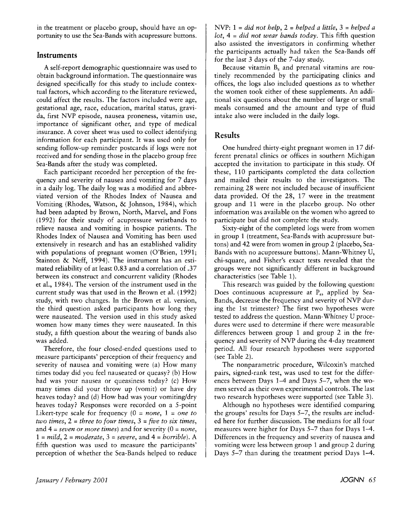in the treatment or placebo group, should have an opportunity to use the Sea-Bands with acupressure buttons.

## **Instruments**

A self-report demographic questionnaire was used to obtain background information. The questionnaire was designed specifically for this study to include contextual factors, which according to the literature reviewed, could affect the results. The factors included were age, gestational age, race, education, marital status, gravida, first NVP episode, nausea proneness, vitamin use, importance of significant other, and type of medical insurance. A cover sheet was used to collect identifying information for each participant. It was used only for sending follow-up reminder postcards if logs were not received and for sending those in the placebo group free Sea-Bands after the study was completed.

Each participant recorded her perception of the frequency and severity of nausea and vomiting for 7 days in a daily log. The daily log was a modified and abbreviated version of the Rhodes Index of Nausea and Vomiting (Rhodes, Watson, & Johnson, 1984), which had been adapted by Brown, North, Marvel, and Fons (1992) for their study of acupressure wristbands to relieve nausea and vomiting in hospice patients. The Rhodes Index of Nausea and Vomiting has been used extensively in research and has an established validity with populations of pregnant women (O'Brien, 1991; Stainton & Neff, 1994). The instrument has an estimated reliability of at least 0.83 and a correlation of .37 between its construct and concurrent validity (Rhodes et al., 1984). The version of the instrument used in the current study was that used in the Brown et al. (1992) study, with two changes. In the Brown et al. version, the third question asked participants how long they were nauseated. The version used in this study asked women how many times they were nauseated. In this study, a fifth question about the wearing of bands also was added.

Therefore, the four closed-ended questions used to measure participants' perception of their frequency and severity of nausea and vomiting were (a) How many times today did you feel nauseated or queasy? (b) How bad was your nausea or queasiness today? (c) How many times did your throw up (vomit) or have dry heaves today? and (d) How bad was your vomiting/dry heaves today? Responses were recorded on a 5-point Likert-type scale for frequency  $(0 = none, 1 = one to)$ *two times,* 2 = *three to four times,* **3** = *five to six times,*  and 4 = *seven or more times)* and for severity (0 = *none,*  1 = *mild,* 2 = *moderate, 3* = *severe,* and **4** = *horrible).* **A**  fifth question was used to measure the participants' perception of whether the Sea-Bands helped to reduce

NVP: 1 = *did not help,* 2 = *helped a little, 3* = *helped a lot,* 4 = *did not wear bands today,* This fifth question also assisted the investigators in confirming whether the participants actually had taken the Sea-Bands off for the last *3* days of the 7-day study.

Because vitamin **B,** and prenatal vitamins are routinely recommended by the participating clinics and offices, the logs also included questions as to whether the women took either of these supplements. An additional six questions about the number of large or small meals consumed and the amount and type of fluid intake also were included in the daily logs.

# **Results**

One hundred thirty-eight pregnant women in 17 different prenatal clinics or offices in southern Michigan accepted the invitation to participate in this study. Of these, 110 participants completed the data collection and mailed their results to the investigators. The remaining 28 were not included because of insufficient data provided. Of the 28, 17 were in the treatment group and 11 were in the placebo group. No other information was available on the women who agreed to participate but did not complete the study.

Sixty-eight of the completed logs were from women in group 1 (treatment, Sea-Bands with acupressure buttons) and 42 were from women in group 2 (placebo, Sea-Bands with no acupressure buttons). Mann-Whitney U, chi-square, and Fisher's exact tests revealed that the groups were not significantly different in background characteristics (see Table 1).

This research was guided by the following question: Does continuous acupressure at  $P_6$ , applied by Sea-Bands, decrease the frequency and severity of NVP during the 1st trimester? The first two hypotheses were tested to address the question. Mann-Whitney U procedures were used to determine if there were measurable differences between group 1 and group 2 in the frequency and severity of NVP during the 4-day treatment period. All four research hypotheses were supported (see Table 2).

The nonparametric procedure, Wilcoxin's matched pairs, signed-rank test, was used to test for the differences between Days 1-4 and Days 5-7, when the women served as their own experimental controls. The last two research hypotheses were supported (see Table **3).** 

Although no hypotheses were identified comparing the groups' results for Days 5-7, the results are included here for further discussion. The medians for all four measures were higher for Days 5-7 than for Days 1-4. Differences in the frequency and severity of nausea and vomiting were less between group 1 and group 2 during Days 5-7 than during the treatment period Days 1-4.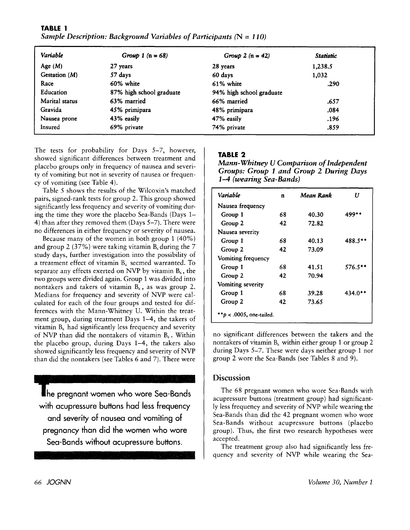| Variable       | Group 1 ( $n = 68$ )     | Group 2 $(n = 42)$       | Statistic |  |
|----------------|--------------------------|--------------------------|-----------|--|
| Age $(M)$      | 27 years                 | 28 years                 | 1,238.5   |  |
| Gestation (M)  | 57 days                  | 60 days                  | 1,032     |  |
| Race           | 60% white                | 61% white                | .290      |  |
| Education      | 87% high school graduate | 94% high school graduate |           |  |
| Marital status | 63% married              | 66% married              | .657      |  |
| Gravida        | 45% primipara            | 48% primipara            | .084      |  |
| Nausea prone   | 43% easily               | 47% easily               | .196      |  |
| Insured        | 69% private              | 74% private              | .859      |  |

**TABLE 1**  *Sample Description: Background Variables of Participants* (N = *110)* 

The tests for probability for Days *5-7,* however, showed significant differences between treatment and placebo groups only in frequency of nausea and severity of vomiting but not in severity of nausea or frequency of vomiting (see Table **4).** 

Table *5* shows the results of the Wilcoxin's matched pairs, signed-rank tests for group **2.** This group showed significantly less frequency and severity of vomiting during the time they wore the placebo Sea-Bands (Days **1- 4)** than after they removed them (Days 5-7). There were no differences in either frequency or severity of nausea.

Because many of the women in both group **1** (40%) and group 2 (37%) were taking vitamin  $B_6$  during the 7 study days, further investigation into the possibility of a treatment effect of vitamin  $B_6$  seemed warranted. To separate any effects exerted on NVP by vitamin  $B_6$ , the two groups were divided again. Group **1** was divided into nontakers and takers of vitamin  $B_6$ , as was group 2. Medians for frequency and severity of NVP were calculated for each of the four groups and tested for differences with the Mann-Whitney U. Within the treatment group, during treatment Days **1-4,** the takers of vitamin  $B_6$  had significantly less frequency and severity of NVP than did the nontakers of vitamin B<sub>6</sub>. Within the placebo group, during Days **1-4,** the takers also showed significantly less frequency and severity of NVP than did the nontakers (see Tables 6 and 7). There were

The pregnant women who wore Sea-Bands with acupressure buttons had less frequency and severiiy of nausea and vomiting of pregnancy than did the women who wore Sea-Bands without acupressure buttons.

# **TABLE 2**

*Mann- Wbitney U Comparison of Independent Gvoups: Group 1 and Group 2 During Days 1-4 (wearing Sea-Bands)* 

| Variable                  | $\mathbf{n}$ | Mean Rank | U       |
|---------------------------|--------------|-----------|---------|
| Nausea frequency          |              |           |         |
| Group 1                   | 68           | 40.30     | 499**   |
| Group 2                   | 42           | 72.82     |         |
| Nausea severity           |              |           |         |
| Group 1                   | 68           | 40.13     | 488.5** |
| Group 2                   | 42           | 73.09     |         |
| Vomiting frequency        |              |           |         |
| Group 1                   | 68           | 41.51     | 576.5** |
| Group 2                   | 42           | 70.94     |         |
| Vomiting severity         |              |           |         |
| Group 1                   | 68           | 39.28     | 434.0** |
| Group 2                   | 42           | 73.65     |         |
| $p < .0005$ , one-tailed. |              |           |         |

no significant differences between the takers and the nontakers of vitamin B, within either group **1** or group **2**  during Days *5-7.* These were days neither group **1** nor group 2 wore the Sea-Bands (see Tables 8 and 9).

## **Discussion**

The 68 pregnant women who wore Sea-Bands with acupressure buttons (treatment group) had significantly less frequency and severity of NVP while wearing the Sea-Bands than did the **42** pregnant women who wore Sea-Bands without acupressure buttons (placebo group). Thus, the first two research hypotheses were accepted.

The treatment group also had significantly less frequency and severity of NVP while wearing the Sea-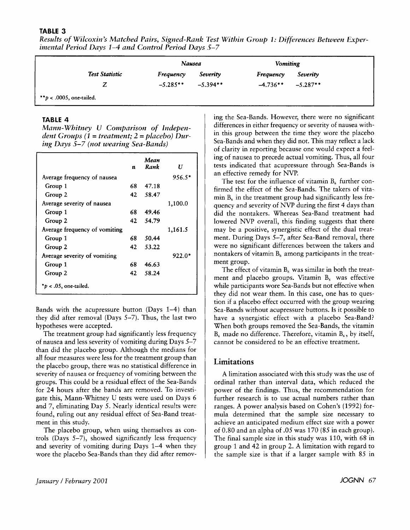#### **TABLE 3**

*Results of Wilcoxin's Matched Pairs, Signed-Rank Test Within Group 1: Differences Between Experimental Period Days 1-4 and Control Period Days 5-7* 

|                | Nausea     |            | <b>Vomiting</b> |             |
|----------------|------------|------------|-----------------|-------------|
| Test Statistic | Frequency  | Severity   | Frequency       | Severity    |
|                | $-5.285**$ | $-5.394**$ | $-4.736***$     | $-5.287$ ** |

#### **TABLE 4**

*Mann-Whitney U Comparison of Independent Groups (1* = *treatment; 2* = *placebo) During Days 5-7 (not wearing Sea-Bands)* 

|                               | n  | Mean<br>Rank | Н        |
|-------------------------------|----|--------------|----------|
| Average frequency of nausea   |    |              | $956.5*$ |
| Group 1                       | 68 | 47.18        |          |
| Group 2                       | 42 | 58.47        |          |
| Average severity of nausea    |    |              | 1,100.0  |
| Group 1                       | 68 | 49.46        |          |
| Group 2                       | 42 | 54.79        |          |
| Average frequency of vomiting |    |              | 1,161.5  |
| Group 1                       | 68 | 50.44        |          |
| Group 2                       | 42 | 53.22        |          |
| Average severity of vomiting  |    |              | 922.0*   |
| Group 1                       | 68 | 46.63        |          |
| Group 2                       | 42 | 58.24        |          |
| * $p$ < .05, one-tailed.      |    |              |          |

Bands with the acupressure button (Days **1-4)** than they did after removal (Days 5-7). Thus, the last two hypotheses were accepted.

The treatment group had significantly less frequency of nausea and less severity of vomiting during Days 5-7 than did the placebo group. Although the medians for all four measures were less for the treatment group than the placebo group, there was no statistical difference in severity of nausea or frequency of vomiting between the groups. This could be a residual effect of the Sea-Bands for **24** hours after the bands are removed. To investigate this, Mann-Whitney U tests were used on Days **6**  and 7, eliminating Day 5. Nearly identical results were found, ruling out any residual effect of Sea-Band treatment in this study.

The placebo group, when using themselves as controls (Days *5-7),* showed significantly less frequency and severity of vomiting during Days **1-4** when they wore the placebo Sea-Bands than they did after removing the Sea-Bands. However, there were no significant differences in either frequency or severity of nausea within this group between the time they wore the placebo Sea-Bands and when they did not. This may reflect a lack of clarity in reporting because one would expect a feeling of nausea to precede actual vomiting. Thus, all four tests indicated that acupressure through Sea-Bands is an effective remedy for NVP.

The test for the influence of vitamin  $B_6$  further confirmed the effect of the Sea-Bands. The takers of vitamin  $B_6$  in the treatment group had significantly less frequency and severity of NVP during the first **4** days than did the nontakers. Whereas Sea-Band treatment had lowered NVP overall, this finding suggests that there may be a positive, synergistic effect of the dual treatment. During Days 5-7, after Sea-Band removal, there were no significant differences between the takers and nontakers of vitamin  $B_6$  among participants in the treatment group.

The effect of vitamin  $B_6$  was similar in both the treatment and placebo groups. Vitamin  $B_6$  was effective while participants wore Sea-Bands but not effective when they did not wear them. In this case, one has to question if a placebo effect occurred with the group wearing Sea-Bands without acupressure buttons. **Is** it possible to have a synergistic effect with a placebo Sea-Band? When both groups removed the Sea-Bands, the vitamin  $B<sub>6</sub>$  made no difference. Therefore, vitamin  $B<sub>6</sub>$ , by itself, cannot be considered to be an effective treatment.

#### **Limitations**

A limitation associated with this study was the use of ordinal rather than interval data, which reduced the power of the findings. Thus, the recommendation for further research is to use actual numbers rather than ranges. A power analysis based on Cohen's **(1992)** formula determined that the sample size necessary to achieve an anticipated medium effect size with a power of 0.80 and an alpha of .05 was **170** (85 in each group). The final sample size in this study was **110,** with **68** in group **1** and **42** in group **2.** A limitation with regard to the sample size is that if a larger sample with 85 in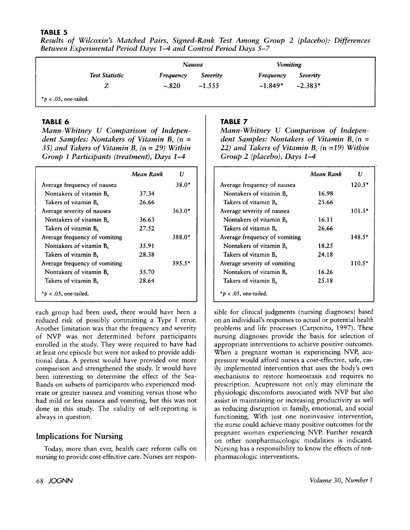## **TABLE 5**

| Results of Wilcoxin's Matched Pairs, Signed-Rank Test Among Group 2 (placebo): Differences<br><b>Between Experimental Period Days 1–4 and Control Period Days 5–7</b> |        |                        |  |
|-----------------------------------------------------------------------------------------------------------------------------------------------------------------------|--------|------------------------|--|
|                                                                                                                                                                       | Nausea | <i><b>Vomiting</b></i> |  |

|                          |                | Nausea    |          | <b>Vomiting</b> |           |  |
|--------------------------|----------------|-----------|----------|-----------------|-----------|--|
|                          | Test Statistic | Frequency | Severity | Frequency       | Severity  |  |
|                          |                | $-.820$   | $-1.555$ | $-1.849*$       | $-2.383*$ |  |
| $*_b$ < .05, one-tailed. |                |           |          |                 |           |  |

## **TABLE 6**

*Mann- Whitney U Comparison of lndependent Samples: Nontakers of Vitamin B,* **(n** = *35) and Takers of Vitamin B,* **(n** = *29) Within Group 1 Pavticipants (treatment), Days 1-4* 

|                                 | Mean Rank | Н        |
|---------------------------------|-----------|----------|
| Average frequency of nausea     |           | $38.0*$  |
| Nontakers of vitamin B.         | 37.34     |          |
| Takers of vitamin B.            | 26.66     |          |
| Average severity of nausea      |           | $363.0*$ |
| Nontakers of vitamin B.         | 36.63     |          |
| Takers of vitamin $B_{6}$       | 27.52     |          |
| Average frequency of vomiting   |           | 388.0*   |
| Nontakers of vitamin B.         | 35.91     |          |
| Takers of vitamin B.            | 28.38     |          |
| Average frequency of vomiting   |           | $395.5*$ |
| Nontakers of vitamin $B_{s}$    | 35.70     |          |
| Takers of vitamin B.            | 28.64     |          |
| $*$ <i>p</i> < .05, one-tailed. |           |          |

each group had been used, there would have been a reduced risk of possibly committing a Type I error. Another limitation was that the frequency and severity of NVP was not determined before participants enrolled in the study. They were required to have had at least one episode but were not asked to provide additional data. A pretest would have provided one more comparison and strengthened the study. It would have been interesting to determine the effect of the Sea-Bands on subsets of participants who experienced moderate or greater nausea and vomiting versus those who had mild or less nausea and vomiting, but this was not done in this study. The validity of self-reporting is always in question.

## **Implications for Nursing**

Today, more than ever, health care reform calls on nursing to provide cost-effective care. Nurses are respon-

## **TABLE 7**

*Mann-Whitney U Comparison of lndependent Samples: Nontakers of Vitamin B,,* **(n** = *22) and Takers of Vitamin B,* **(n** *=19) Within Group 2 (placebo), Days 1-4* 

|                               | Mean Rank | Н        |
|-------------------------------|-----------|----------|
| Average frequency of nausea   |           | $120.5*$ |
| Nontakers of vitamin B.       | 16.98     |          |
| Takers of vitamin B.          | 25.66     |          |
| Average severity of nausea    |           | $101.5*$ |
| Nontakers of vitamin $B_6$    | 16.11     |          |
| Takers of vitamin B.          | 26.66     |          |
| Average frequency of vomiting |           | $148.5*$ |
| Nontakers of vitamin $B_6$    | 18.25     |          |
| Takers of vitamin B.          | 24.18     |          |
| Average severity of vomiting  |           | 110.5*   |
| Nontakers of vitamin B.       | 16.26     |          |
| Takers of vitamin $B_6$       | 25.18     |          |
| * $p < .05$ , one-tailed.     |           |          |

sible for clinical judgments (nursing diagnoses) based on an individual's responses to actual or potential health problems and life processes (Carpenito, 1997). These nursing diagnoses provide the basis for selection of appropriate interventions to achieve positive outcomes. When a pregnant woman is experiencing NVP, acupressure would afford nurses a cost-effective, safe, easily implemented intervention that uses the body's own mechanisms to restore homeostasis and requires no prescription. Acupressure not only may eliminate the physiologic discomforts associated with NVP but also assist in maintaining or increasing productivity as well as reducing disruption in family, emotional, and social functioning. With just one noninvasive intervention, the nurse could achieve many positive outcomes for the pregnant woman experiencing NVP. Further research on other nonpharmacologic modalities is indicated. Nursing has a responsibility to know the effects of nonpharmacologic interventions.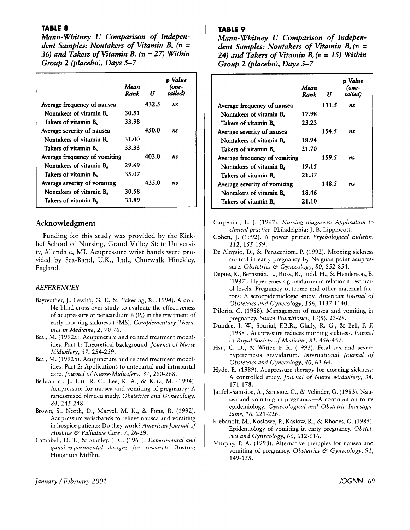## **TABLE a**

*Mann-Whitney U Comparison of Independent Samples: Nontakers of Vitamin B,* **(n** = *36) and Takers of Vitamin B<sub>6</sub> (n = 27) Within Group* **2** *(placebo), Days* **5-7** 

|                               | Mean<br>Rank | U     | o Value<br>(one-<br>tailed) |
|-------------------------------|--------------|-------|-----------------------------|
| Average frequency of nausea   |              | 432.5 | ns                          |
| Nontakers of vitamin B.       | 30.51        |       |                             |
| Takers of vitamin B.          | 33.98        |       |                             |
| Average severity of nausea    |              | 450.0 | ns                          |
| Nontakers of vitamin B.       | 31.00        |       |                             |
| Takers of vitamin B.          | 33.33        |       |                             |
| Average frequency of vomiting |              | 403.0 | ns                          |
| Nontakers of vitamin B.       | 29.69        |       |                             |
| Takers of vitamin B.          | 35.07        |       |                             |
| Average severity of vomiting  |              | 435.0 | ns                          |
| Nontakers of vitamin $B_6$    | 30.58        |       |                             |
| Takers of vitamin B.          | 33.89        |       |                             |

# **Acknowledgment**

Funding for this study was provided by the Kirkhof School of Nursing, Grand Valley State University, Allendale, MI. Acupressure wrist bands were provided by Sea-Band, U.K., Ltd., Churwalk Hinckley, England.

#### *REFERENCES*

- Bayreuther, J., Lewith, G. T., & Pickering, R. (1994). A double-blind cross-over study to evaluate the effectiveness of acupressure at pericardium 6  $(P_6)$  in the treatment of early morning sickness (EMS). *Complementary Therapies in Medicine, 2,* 70-76.
- Beal, M. (1992a). Acupuncture and related treatment modalities. Part 1: Theoretical background. *]ournu1 of Nurse Midwifery, 3 7,* 254-259.
- Beal, M. (1992b). Acupuncture and related treatment modalities. Part 2: Applications to antepartal and intrapartal care. *Journal of Nurse-Midwifery, 37,* 260-268.
- Belluomini, J., Litt, R. C., Lee, K. A., & Katz, M. (1994). Acupressure for nausea and vomiting of pregnancy: A randomized blinded study. *Obstetrics and Gynecology, 84,* 245-248.
- Brown, S., North, D., Marvel, M. K., & Fons, R. (1992). Acupressure wristbands to relieve nausea and vomiting in hospice patients: Do they work? *American Journal of Hospice* & *Palliative Care,* 7, 26-29.
- Campbell, D. T., & Stanley, J. C. (1963). *Experimental and quasi-experimental designs for research.* Boston: Houghton Mifflin.

## **TABLE** *9*

*Mann-Whitney U Comparison of Independent Samples: Nontakers of Vitamin* **B,(n** = *24) and Takers of Vitamin B,* **(n** = *15) Within Group* **2** *(placebo), Days* **5-7** 

|                               | Mean<br>Rank | U     | o Value<br>(one-<br>tailed) |
|-------------------------------|--------------|-------|-----------------------------|
| Average frequency of nausea   |              | 131.5 | ns                          |
| Nontakers of vitamin B.       | 17.98        |       |                             |
| Takers of vitamin B.          | 23.23        |       |                             |
| Average severity of nausea    |              | 154.5 | ns                          |
| Nontakers of vitamin $B_6$    | 18.94        |       |                             |
| Takers of vitamin B.          | 21.70        |       |                             |
| Average frequency of vomiting |              | 159.5 | ns                          |
| Nontakers of vitamin B.       | 19.15        |       |                             |
| Takers of vitamin B.          | 21.37        |       |                             |
| Average severity of vomiting  |              | 148.5 | ns                          |
| Nontakers of vitamin $B_6$    | 18.46        |       |                             |
| Takers of vitamin B.          | 21.10        |       |                             |

- Carpenito, L. J. (1997). *Nursing diagnosis: Application to clinical practice.* Philadelphia: J. B. Lippincott.
- Cohen, J. (1992). **A** power primer. *Psychological Bulletin, 112,* 155-159.
- De Aloysio, D., & Penacchioni, P. (1992). Morning sickness control in early pregnancy by Neiguan point acupressure. *Obstetrics* & *Gynecology, 80,* 852-854.
- Depue, R., Bernstein, L., Ross, R., Judd, H., & Henderson, B. (1 987). Hyper-emesis gravidarum in relation to estradi-01 levels. Pregnancy outcome and other maternal factors: A seroepidemiologic study. *American Journal of Obstetrics and Gynecology, 156,* 1137-1 140.
- Dilorio, C. (1988). Management of nausea and vomiting in pregnancy. *Nurse Practitioner, 13(5),* 23-28.
- Dundee, J. W., Sourial, F.B.R., Ghaly, R. G., & Bell, P. F. (1 988). Acupressure reduces morning sickness. *Journal of Royal Society of Medicine, 81,* 456-457.
- Hsu, C. D., & Witter, F. R. (1993). Fetal sex and severe hyperemesis gravidarum. *International Journal of Obstetrics and Gynecology, 40,* 63-64.
- Hyde, E. (1989). Acupressure therapy for morning sickness: **A** controlled study. *journaI of Nurse Midwifery, 34,*  171-178.
- Janfelt-Samsioe, A., Samsioe, G., & Velinder, G. (1983). Nausea and vomiting in pregnancy-A contribution to its epidemiology. *Gynecological and Obstetric Investigations, 16,* 221-226.
- Klebanoff, M., Koslowe, P., Kaslow, R., & Rhodes, G. (1985). Epidemiology of vomiting in early pregnancy. *Obstetrics and Gynecology,* 66, 612-616.
- Murphy, P. A. (1998). Alternative therapies for nausea and vomiting of pregnancy. Obstetrics & Gynecology, 91, 149-155.